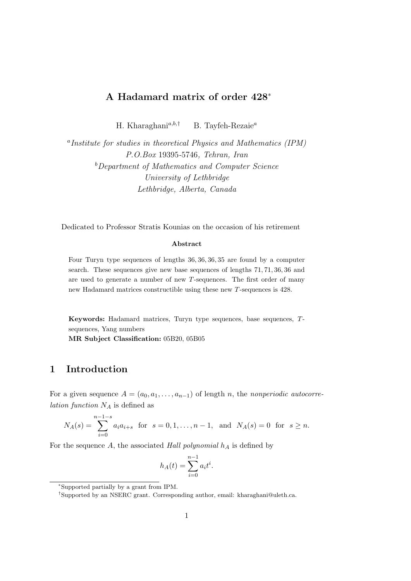# A Hadamard matrix of order 428<sup>∗</sup>

H. Kharaghani<sup>a,b,†</sup> B. Tayfeh-Rezaie<sup>a</sup>

<sup>a</sup>Institute for studies in theoretical Physics and Mathematics (IPM) P.O.Box 19395-5746, Tehran, Iran <sup>b</sup>Department of Mathematics and Computer Science University of Lethbridge Lethbridge, Alberta, Canada

Dedicated to Professor Stratis Kounias on the occasion of his retirement

#### Abstract

Four Turyn type sequences of lengths 36, 36, 36, 35 are found by a computer search. These sequences give new base sequences of lengths 71, 71, 36, 36 and are used to generate a number of new T-sequences. The first order of many new Hadamard matrices constructible using these new T-sequences is 428.

Keywords: Hadamard matrices, Turyn type sequences, base sequences, Tsequences, Yang numbers MR Subject Classification: 05B20, 05B05

# 1 Introduction

For a given sequence  $A = (a_0, a_1, \ldots, a_{n-1})$  of length n, the nonperiodic autocorre*lation function*  $N_A$  is defined as

$$
N_A(s) = \sum_{i=0}^{n-1-s} a_i a_{i+s} \text{ for } s = 0, 1, \dots, n-1, \text{ and } N_A(s) = 0 \text{ for } s \ge n.
$$

For the sequence  $A$ , the associated Hall polynomial  $h_A$  is defined by

$$
h_A(t) = \sum_{i=0}^{n-1} a_i t^i.
$$

<sup>∗</sup>Supported partially by a grant from IPM.

<sup>†</sup>Supported by an NSERC grant. Corresponding author, email: kharaghani@uleth.ca.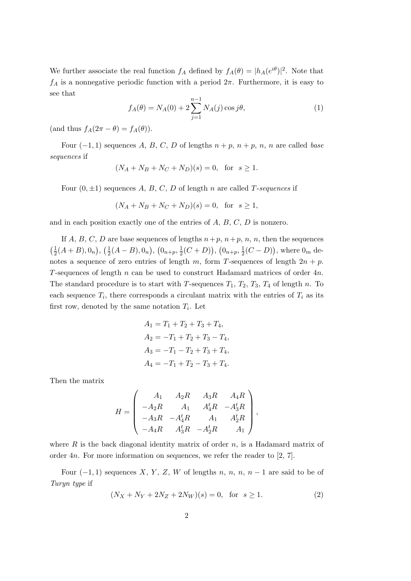We further associate the real function  $f_A$  defined by  $f_A(\theta) = |h_A(e^{i\theta})|^2$ . Note that  $f_A$  is a nonnegative periodic function with a period  $2\pi$ . Furthermore, it is easy to see that

$$
f_A(\theta) = N_A(0) + 2 \sum_{j=1}^{n-1} N_A(j) \cos j\theta,
$$
 (1)

(and thus  $f_A(2\pi - \theta) = f_A(\theta)$ ).

Four  $(-1, 1)$  sequences A, B, C, D of lengths  $n + p$ ,  $n + p$ ,  $n$ ,  $n$  are called base sequences if

$$
(N_A + N_B + N_C + N_D)(s) = 0
$$
, for  $s \ge 1$ .

Four  $(0, \pm 1)$  sequences A, B, C, D of length n are called T-sequences if

$$
(N_A + N_B + N_C + N_D)(s) = 0
$$
, for  $s \ge 1$ ,

and in each position exactly one of the entries of A, B, C, D is nonzero.

If A, B, C, D are base sequences of lengths  $n+p$ ,  $n+p$ , n, n, then the sequences  $\left(\frac{1}{2}\right)$  $\frac{1}{2}(A+B), 0_n), (\frac{1}{2})$  $\frac{1}{2}(A-B), 0_n), (0_{n+p}, \frac{1}{2})$  $(\frac{1}{2}(C+D)), (\overline{0}_{n+p}, \frac{1}{2})$  $(\frac{1}{2}(C-D))$ , where  $0_m$  denotes a sequence of zero entries of length m, form T-sequences of length  $2n + p$ . T-sequences of length n can be used to construct Hadamard matrices of order 4n. The standard procedure is to start with T-sequences  $T_1$ ,  $T_2$ ,  $T_3$ ,  $T_4$  of length n. To each sequence  $T_i$ , there corresponds a circulant matrix with the entries of  $T_i$  as its first row, denoted by the same notation  $T_i$ . Let

$$
A_1 = T_1 + T_2 + T_3 + T_4,
$$
  
\n
$$
A_2 = -T_1 + T_2 + T_3 - T_4,
$$
  
\n
$$
A_3 = -T_1 - T_2 + T_3 + T_4,
$$
  
\n
$$
A_4 = -T_1 + T_2 - T_3 + T_4.
$$

Then the matrix

$$
H = \begin{pmatrix} A_1 & A_2R & A_3R & A_4R \\ -A_2R & A_1 & A_4^tR & -A_3^tR \\ -A_3R & -A_4^tR & A_1 & A_2^tR \\ -A_4R & A_3^tR & -A_2^tR & A_1 \end{pmatrix},
$$

where  $R$  is the back diagonal identity matrix of order  $n$ , is a Hadamard matrix of order 4n. For more information on sequences, we refer the reader to [2, 7].

Four  $(-1,1)$  sequences X, Y, Z, W of lengths n, n, n, n – 1 are said to be of Turyn type if

$$
(N_X + N_Y + 2N_Z + 2N_W)(s) = 0, \text{ for } s \ge 1.
$$
 (2)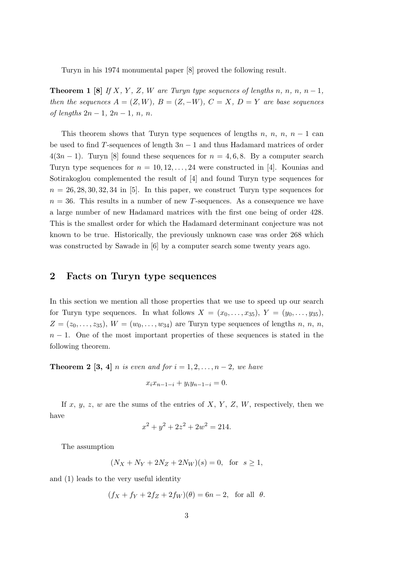Turyn in his 1974 monumental paper [8] proved the following result.

**Theorem 1** [8] If X, Y, Z, W are Turyn type sequences of lengths n, n, n, n – 1, then the sequences  $A = (Z, W), B = (Z, -W), C = X, D = Y$  are base sequences of lengths  $2n − 1$ ,  $2n − 1$ ,  $n$ ,  $n$ .

This theorem shows that Turyn type sequences of lengths n, n, n, n − 1 can be used to find T-sequences of length  $3n - 1$  and thus Hadamard matrices of order  $4(3n-1)$ . Turyn [8] found these sequences for  $n = 4, 6, 8$ . By a computer search Turyn type sequences for  $n = 10, 12, \ldots, 24$  were constructed in [4]. Kounias and Sotirakoglou complemented the result of [4] and found Turyn type sequences for  $n = 26, 28, 30, 32, 34$  in [5]. In this paper, we construct Turyn type sequences for  $n = 36$ . This results in a number of new T-sequences. As a consequence we have a large number of new Hadamard matrices with the first one being of order 428. This is the smallest order for which the Hadamard determinant conjecture was not known to be true. Historically, the previously unknown case was order 268 which was constructed by Sawade in [6] by a computer search some twenty years ago.

## 2 Facts on Turyn type sequences

In this section we mention all those properties that we use to speed up our search for Turyn type sequences. In what follows  $X = (x_0, \ldots, x_{35}), Y = (y_0, \ldots, y_{35}),$  $Z = (z_0, \ldots, z_{35}), W = (w_0, \ldots, w_{34})$  are Turyn type sequences of lengths n, n, n,  $n-1$ . One of the most important properties of these sequences is stated in the following theorem.

**Theorem 2** [3, 4] n is even and for  $i = 1, 2, \ldots, n-2$ , we have

$$
x_i x_{n-1-i} + y_i y_{n-1-i} = 0.
$$

If x, y, z, w are the sums of the entries of X, Y, Z, W, respectively, then we have

$$
x^2 + y^2 + 2z^2 + 2w^2 = 214.
$$

The assumption

$$
(N_X + N_Y + 2N_Z + 2N_W)(s) = 0
$$
, for  $s \ge 1$ ,

and (1) leads to the very useful identity

$$
(f_X + f_Y + 2f_Z + 2f_W)(\theta) = 6n - 2, \text{ for all } \theta.
$$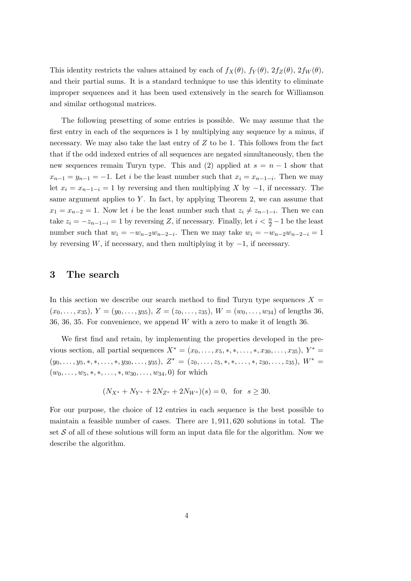This identity restricts the values attained by each of  $f_X(\theta)$ ,  $f_Y(\theta)$ ,  $2f_Z(\theta)$ ,  $2f_W(\theta)$ , and their partial sums. It is a standard technique to use this identity to eliminate improper sequences and it has been used extensively in the search for Williamson and similar orthogonal matrices.

The following presetting of some entries is possible. We may assume that the first entry in each of the sequences is 1 by multiplying any sequence by a minus, if necessary. We may also take the last entry of  $Z$  to be 1. This follows from the fact that if the odd indexed entries of all sequences are negated simultaneously, then the new sequences remain Turyn type. This and (2) applied at  $s = n - 1$  show that  $x_{n-1} = y_{n-1} = -1$ . Let i be the least number such that  $x_i = x_{n-1-i}$ . Then we may let  $x_i = x_{n-1-i} = 1$  by reversing and then multiplying X by  $-1$ , if necessary. The same argument applies to  $Y$ . In fact, by applying Theorem 2, we can assume that  $x_1 = x_{n-2} = 1$ . Now let i be the least number such that  $z_i \neq z_{n-1-i}$ . Then we can take  $z_i = -z_{n-1-i} = 1$  by reversing Z, if necessary. Finally, let  $i < \frac{n}{2} - 1$  be the least number such that  $w_i = -w_{n-2}w_{n-2-i}$ . Then we may take  $w_i = -w_{n-2}w_{n-2-i} = 1$ by reversing W, if necessary, and then multiplying it by  $-1$ , if necessary.

### 3 The search

In this section we describe our search method to find Turyn type sequences  $X =$  $(x_0, \ldots, x_{35}), Y = (y_0, \ldots, y_{35}), Z = (z_0, \ldots, z_{35}), W = (w_0, \ldots, w_{34})$  of lengths 36, 36, 36, 35. For convenience, we append  $W$  with a zero to make it of length 36.

We first find and retain, by implementing the properties developed in the previous section, all partial sequences  $X^* = (x_0, ..., x_5, *, *, ..., *, x_{30}, ..., x_{35}), Y^* =$  $(y_0, \ldots, y_5, \ast, \ast, \ldots, \ast, y_{30}, \ldots, y_{35}), Z^* = (z_0, \ldots, z_5, \ast, \ast, \ldots, \ast, z_{30}, \ldots, z_{35}), W^* =$  $(w_0, \ldots, w_5, \ast, \ast, \ldots, \ast, w_{30}, \ldots, w_{34}, 0)$  for which

$$
(N_{X^*} + N_{Y^*} + 2N_{Z^*} + 2N_{W^*})(s) = 0
$$
, for  $s \ge 30$ .

For our purpose, the choice of 12 entries in each sequence is the best possible to maintain a feasible number of cases. There are 1, 911, 620 solutions in total. The set  $S$  of all of these solutions will form an input data file for the algorithm. Now we describe the algorithm.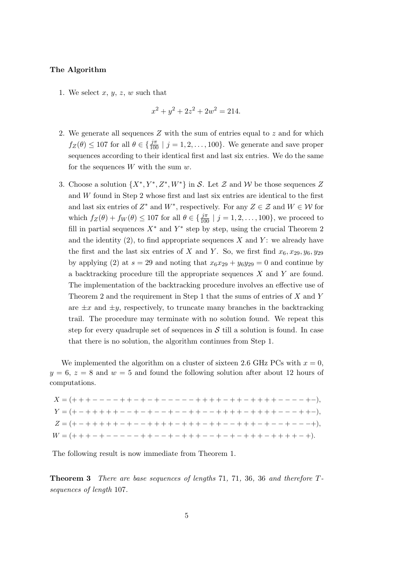### The Algorithm

1. We select  $x, y, z, w$  such that

$$
x^2 + y^2 + 2z^2 + 2w^2 = 214.
$$

- 2. We generate all sequences  $Z$  with the sum of entries equal to  $z$  and for which  $f_Z(\theta) \le 107$  for all  $\theta \in {\frac{j\pi}{100} | j = 1, 2, ..., 100}$ . We generate and save proper sequences according to their identical first and last six entries. We do the same for the sequences  $W$  with the sum  $w$ .
- 3. Choose a solution  $\{X^*, Y^*, Z^*, W^*\}$  in S. Let Z and W be those sequences Z and W found in Step 2 whose first and last six entries are identical to the first and last six entries of  $Z^*$  and  $W^*$ , respectively. For any  $Z \in \mathcal{Z}$  and  $W \in \mathcal{W}$  for which  $f_Z(\theta) + f_W(\theta) \le 107$  for all  $\theta \in \{\frac{j\pi}{100} \mid j = 1, 2, \dots, 100\}$ , we proceed to fill in partial sequences  $X^*$  and  $Y^*$  step by step, using the crucial Theorem 2 and the identity  $(2)$ , to find appropriate sequences X and Y: we already have the first and the last six entries of X and Y. So, we first find  $x_6, x_{29}, y_6, y_{29}$ by applying (2) at  $s = 29$  and noting that  $x_6x_{29} + y_6y_{29} = 0$  and continue by a backtracking procedure till the appropriate sequences X and Y are found. The implementation of the backtracking procedure involves an effective use of Theorem 2 and the requirement in Step 1 that the sums of entries of  $X$  and  $Y$ are  $\pm x$  and  $\pm y$ , respectively, to truncate many branches in the backtracking trail. The procedure may terminate with no solution found. We repeat this step for every quadruple set of sequences in  $S$  till a solution is found. In case that there is no solution, the algorithm continues from Step 1.

We implemented the algorithm on a cluster of sixteen 2.6 GHz PCs with  $x = 0$ ,  $y = 6$ ,  $z = 8$  and  $w = 5$  and found the following solution after about 12 hours of computations.

 $X = (+ + + - - - - + + - - + - - - - - + + + + + + - + + + + - - - - - + + -).$  $Y = (+ - + + + + + - - + - + - - + + - - + + + + + - + + + + - - - + + + -).$  $Z = (+ - + + + + + - + - - + + + + + - + + + - - + + + + - + - + - - + +).$  $W = (+ + + - - - - - - + + - - + - + + + - - - + - + + + + - + + + - +).$ 

The following result is now immediate from Theorem 1.

Theorem 3 There are base sequences of lengths 71, 71, 36, 36 and therefore Tsequences of length 107.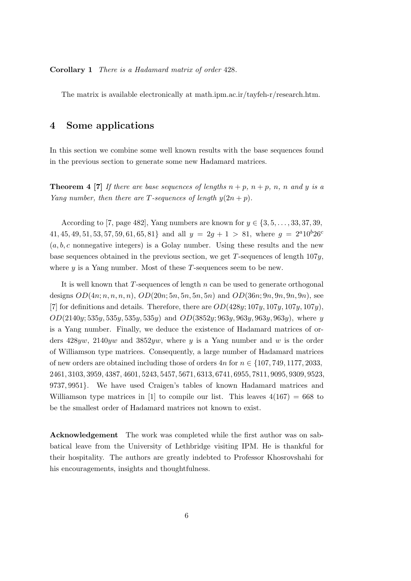Corollary 1 There is a Hadamard matrix of order 428.

The matrix is available electronically at math.ipm.ac.ir/tayfeh-r/research.htm.

## 4 Some applications

In this section we combine some well known results with the base sequences found in the previous section to generate some new Hadamard matrices.

**Theorem 4 [7]** If there are base sequences of lengths  $n + p$ ,  $n + p$ ,  $n$ ,  $n$  and y is a Yang number, then there are T-sequences of length  $y(2n + p)$ .

According to [7, page 482], Yang numbers are known for  $y \in \{3, 5, \ldots, 33, 37, 39, \ldots\}$ 41, 45, 49, 51, 53, 57, 59, 61, 65, 81} and all  $y = 2g + 1 > 81$ , where  $g = 2^{a}10^{b}26^{c}$  $(a, b, c$  nonnegative integers) is a Golay number. Using these results and the new base sequences obtained in the previous section, we get  $T$ -sequences of length  $107y$ , where  $y$  is a Yang number. Most of these  $T$ -sequences seem to be new.

It is well known that  $T$ -sequences of length  $n$  can be used to generate orthogonal designs  $OD(4n; n, n, n, n)$ ,  $OD(20n; 5n, 5n, 5n, 5n)$  and  $OD(36n; 9n, 9n, 9n, 9n)$ , see [7] for definitions and details. Therefore, there are  $OD(428y; 107y, 107y, 107y)$ ,  $OD(2140y; 535y, 535y, 535y, 535y)$  and  $OD(3852y; 963y, 963y, 963y, 963y)$ , where y is a Yang number. Finally, we deduce the existence of Hadamard matrices of orders  $428yw$ ,  $2140yw$  and  $3852yw$ , where y is a Yang number and w is the order of Williamson type matrices. Consequently, a large number of Hadamard matrices of new orders are obtained including those of orders  $4n$  for  $n \in \{107, 749, 1177, 2033,$ 2461, 3103, 3959, 4387, 4601, 5243, 5457, 5671, 6313, 6741, 6955, 7811, 9095, 9309, 9523, 9737, 9951}. We have used Craigen's tables of known Hadamard matrices and Williamson type matrices in [1] to compile our list. This leaves  $4(167) = 668$  to be the smallest order of Hadamard matrices not known to exist.

Acknowledgement The work was completed while the first author was on sabbatical leave from the University of Lethbridge visiting IPM. He is thankful for their hospitality. The authors are greatly indebted to Professor Khosrovshahi for his encouragements, insights and thoughtfulness.